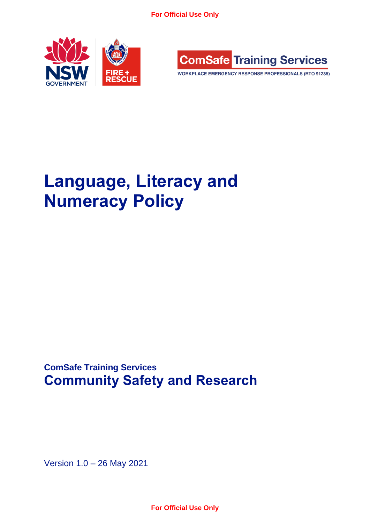



WORKPLACE EMERGENCY RESPONSE PROFESSIONALS (RTO 91235)

# **Language, Literacy and Numeracy Policy**

**ComSafe Training Services Community Safety and Research**

Version 1.0 – 26 May 2021

**For Official Use Only**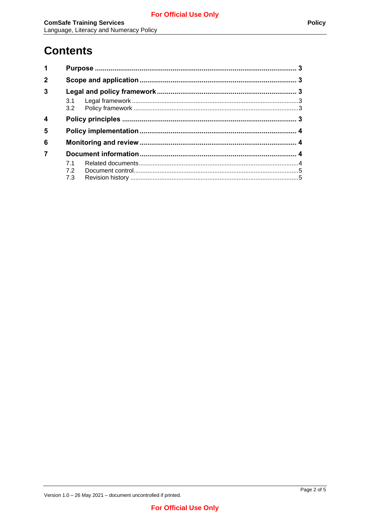## **Contents**

| 1                |     |  |  |  |  |
|------------------|-----|--|--|--|--|
| $\mathbf{2}$     |     |  |  |  |  |
| $\overline{3}$   |     |  |  |  |  |
|                  |     |  |  |  |  |
| $\boldsymbol{4}$ |     |  |  |  |  |
| 5                |     |  |  |  |  |
| 6                |     |  |  |  |  |
|                  |     |  |  |  |  |
|                  | 71  |  |  |  |  |
|                  | 72  |  |  |  |  |
|                  | 7.3 |  |  |  |  |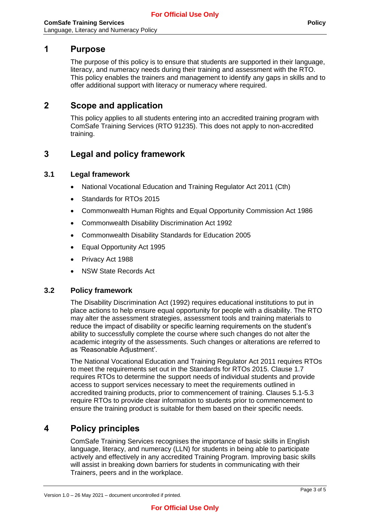### <span id="page-2-0"></span>**1 Purpose**

The purpose of this policy is to ensure that students are supported in their language, literacy, and numeracy needs during their training and assessment with the RTO. This policy enables the trainers and management to identify any gaps in skills and to offer additional support with literacy or numeracy where required.

### <span id="page-2-1"></span>**2 Scope and application**

This policy applies to all students entering into an accredited training program with ComSafe Training Services (RTO 91235). This does not apply to non-accredited training.

## <span id="page-2-2"></span>**3 Legal and policy framework**

#### <span id="page-2-3"></span>**3.1 Legal framework**

- National Vocational Education and Training Regulator Act 2011 (Cth)
- Standards for RTOs 2015
- Commonwealth Human Rights and Equal Opportunity Commission Act 1986
- Commonwealth Disability Discrimination Act 1992
- Commonwealth Disability Standards for Education 2005
- Equal Opportunity Act 1995
- Privacy Act 1988
- NSW State Records Act

#### <span id="page-2-4"></span>**3.2 Policy framework**

The Disability Discrimination Act (1992) requires educational institutions to put in place actions to help ensure equal opportunity for people with a disability. The RTO may alter the assessment strategies, assessment tools and training materials to reduce the impact of disability or specific learning requirements on the student's ability to successfully complete the course where such changes do not alter the academic integrity of the assessments. Such changes or alterations are referred to as 'Reasonable Adjustment'.

The National Vocational Education and Training Regulator Act 2011 requires RTOs to meet the requirements set out in the Standards for RTOs 2015. Clause 1.7 requires RTOs to determine the support needs of individual students and provide access to support services necessary to meet the requirements outlined in accredited training products, prior to commencement of training. Clauses 5.1-5.3 require RTOs to provide clear information to students prior to commencement to ensure the training product is suitable for them based on their specific needs.

## <span id="page-2-5"></span>**4 Policy principles**

ComSafe Training Services recognises the importance of basic skills in English language, literacy, and numeracy (LLN) for students in being able to participate actively and effectively in any accredited Training Program. Improving basic skills will assist in breaking down barriers for students in communicating with their Trainers, peers and in the workplace.

Version 1.0 – 26 May 2021 – document uncontrolled if printed.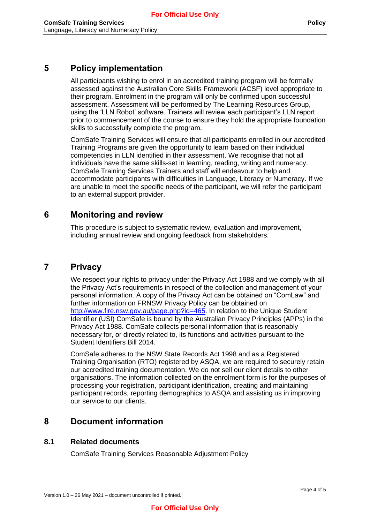## <span id="page-3-0"></span>**5 Policy implementation**

All participants wishing to enrol in an accredited training program will be formally assessed against the Australian Core Skills Framework (ACSF) level appropriate to their program. Enrolment in the program will only be confirmed upon successful assessment. Assessment will be performed by The Learning Resources Group, using the 'LLN Robot' software. Trainers will review each participant's LLN report prior to commencement of the course to ensure they hold the appropriate foundation skills to successfully complete the program.

ComSafe Training Services will ensure that all participants enrolled in our accredited Training Programs are given the opportunity to learn based on their individual competencies in LLN identified in their assessment. We recognise that not all individuals have the same skills-set in learning, reading, writing and numeracy. ComSafe Training Services Trainers and staff will endeavour to help and accommodate participants with difficulties in Language, Literacy or Numeracy. If we are unable to meet the specific needs of the participant, we will refer the participant to an external support provider.

## <span id="page-3-1"></span>**6 Monitoring and review**

This procedure is subject to systematic review, evaluation and improvement, including annual review and ongoing feedback from stakeholders.

## **7 Privacy**

We respect your rights to privacy under the Privacy Act 1988 and we comply with all the Privacy Act's requirements in respect of the collection and management of your personal information. A copy of the Privacy Act can be obtained on "ComLaw" and further information on FRNSW Privacy Policy can be obtained on [http://www.fire.nsw.gov.au/page.php?id=465.](http://www.fire.nsw.gov.au/page.php?id=465) In relation to the Unique Student Identifier (USI) ComSafe is bound by the Australian Privacy Principles (APPs) in the Privacy Act 1988. ComSafe collects personal information that is reasonably necessary for, or directly related to, its functions and activities pursuant to the Student Identifiers Bill 2014.

ComSafe adheres to the NSW State Records Act 1998 and as a Registered Training Organisation (RTO) registered by ASQA, we are required to securely retain our accredited training documentation. We do not sell our client details to other organisations. The information collected on the enrolment form is for the purposes of processing your registration, participant identification, creating and maintaining participant records, reporting demographics to ASQA and assisting us in improving our service to our clients.

## <span id="page-3-2"></span>**8 Document information**

#### <span id="page-3-3"></span>**8.1 Related documents**

ComSafe Training Services Reasonable Adjustment Policy